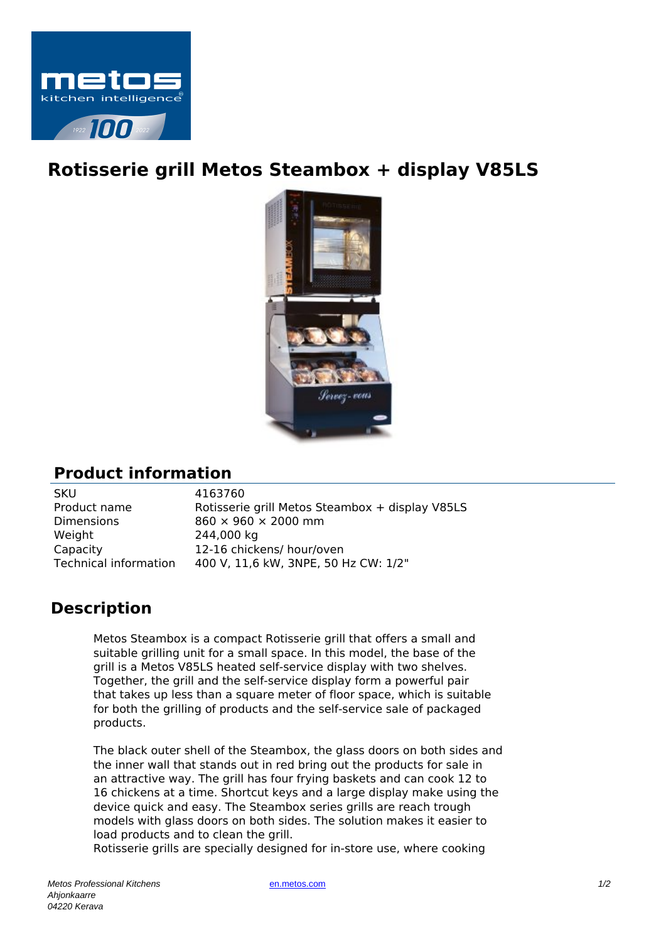

## **Rotisserie grill Metos Steambox + display V85LS**



## **Product information**

| SKU                          |
|------------------------------|
| Product name                 |
| Dimensions                   |
| Weight                       |
| Capacity                     |
| <b>Technical information</b> |

4163760 Rotisserie grill Metos Steambox + display V85LS  $860 \times 960 \times 2000$  mm 244,000 kg 12-16 chickens/ hour/oven 400 V, 11,6 kW, 3NPE, 50 Hz CW: 1/2"

## **Description**

Metos Steambox is a compact Rotisserie grill that offers a small and suitable grilling unit for a small space. In this model, the base of the grill is a Metos V85LS heated self-service display with two shelves. Together, the grill and the self-service display form a powerful pair that takes up less than a square meter of floor space, which is suitable for both the grilling of products and the self-service sale of packaged products.

The black outer shell of the Steambox, the glass doors on both sides and the inner wall that stands out in red bring out the products for sale in an attractive way. The grill has four frying baskets and can cook 12 to 16 chickens at a time. Shortcut keys and a large display make using the device quick and easy. The Steambox series grills are reach trough models with glass doors on both sides. The solution makes it easier to load products and to clean the grill.

Rotisserie grills are specially designed for in-store use, where cooking